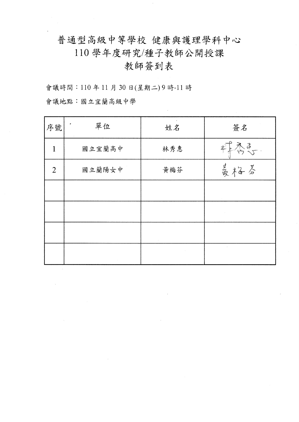普通型高級中等學校 健康與護理學科中心

110學年度研究/種子教師公開授課

# 教師簽到表

會議時間:110年11月30日(星期二)9時-11時

會議地點:國立宜蘭高級中學

| 序號             | 單位     | 姓名  | 簽名  |
|----------------|--------|-----|-----|
| 1              | 國立宜蘭高中 | 林秀惠 | 最高す |
| $\overline{2}$ | 國立蘭陽女中 | 黄梅芬 | 曼格芬 |
|                |        |     |     |
|                |        |     |     |
|                |        |     |     |
|                |        |     |     |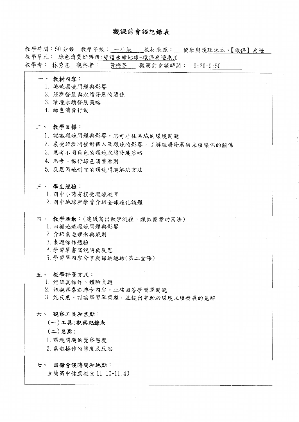## 觀課前會談記錄表

教學時間:50分鐘 教學年級: 一年級 教材來源: 健康與護理課本、【環保】桌遊 教學單元: 綠色消費好樂活:守護永續地球-環保桌遊應用 教學者: 林秀惠 觀察者: 黃梅芬 觀察前會談時間: 9:20-9:50

- 一、 教材內容:
	- 1. 地球環境問題與影響
	- 2. 經濟發展與永續發展的關係
	- 3. 環境永續發展策略
	- 4. 綠色消費行動

#### 二、 教學目標:

- 1. 認識環境問題與影響,思考居住區域的環境問題
- 2. 感受經濟開發對個人及環境的影響,了解經濟發展與永續環保的關係
- 3. 思考不同角色的環境永續發展策略
- 4. 思考、採行綠色消費原則
- 5. 反思因地制宜的環境問題解決方法

#### 三、 學生經驗:

- 1. 國中小時有接受環境教育
- 2. 國中地球科學曾介紹全球暖化議題
- 四、 教學活動:(建議寫出教學流程,類似簡案的寫法)
	- 1. 回顧地球環境問題與影響
	- 2. 介紹桌遊理念與規則
	- 3. 桌游操作體驗
	- 4. 學習單書寫說明與反思
	- 5. 學習單內容分享與歸納總結(第二堂課)

#### 五、 教學評量方式:

- 1. 能認真操作、體驗桌遊
- 2. 能觀察桌遊牌卡內容,正確回答學習單問題
- 3. 能反思、討論學習單問題,並提出有助於環境永續發展的見解

#### 六、觀察工具和焦點:

### (一)工具:觀察紀錄表

- (二)焦點:
- 1. 環境問題的覺察態度
- 2. 桌遊操作的態度及反思

#### 七、 回饋會談時間和地點:

宜蘭高中健康教室 11:10-11:40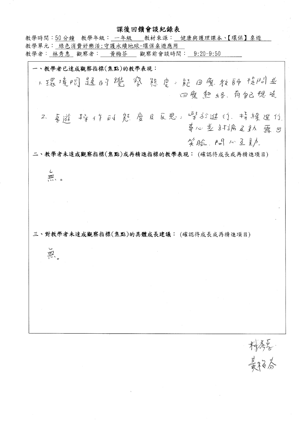## 課後回饋會談紀錄表

教學時間:50分鐘 教學年級: 一年級 教材來源: 健康與護理課本、【環保】桌遊 教學單元: 綠色消費好樂活:守護永續地球-環保桌遊應用 教學者︰林秀惠 觀察者︰ 黃梅芬 觀察前會談時間︰ 9:20-9:50 一、教學者已達成觀察指標(焦點)的教學表現: 1. 摄境阅题时登 察 悲 总 能 回复 教師問*立* 回魔熟络、有似想是 2. 享透 掉个的是应应且反思。慢到近付,特缓延行 草心並 計論及弘 露 出 笑脸, 四八三五 二、教學者未達成觀察指標(焦點)或再精進指標的教學表現:(確認待成長或再精進項目) Ĺ. 严。 三、對教學者未達成觀察指標(焦點)的具體成長建議:(確認待成長或再精進項目) 黑

精秀学